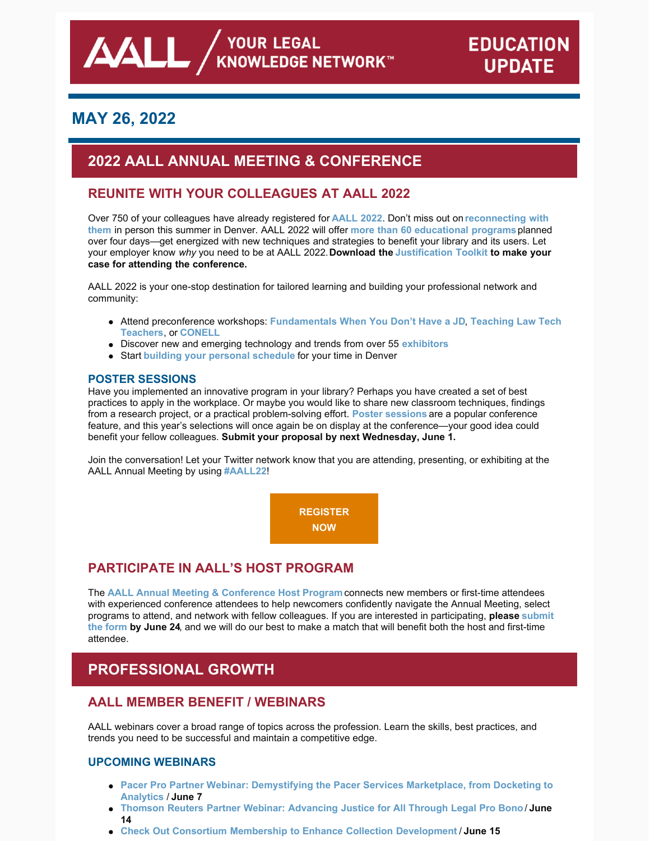# **MAY 26, 2022**

# **2022 AALL ANNUAL MEETING & CONFERENCE**

## **REUNITE WITH YOUR COLLEAGUES AT AALL 2022**

[Over 750 of your colleagues have already registered](https://eventmobi.com/aall2022/people/ef0c5398-586b-427d-b542-c1aa49688886) for **[AALL 2022](https://www.aallnet.org/conference/)**. Don't miss out on **reconnecting with them** in person this summer in Denver. AALL 2022 will offer **[more than 60 educational programs](https://eventmobi.com/aall2022/agenda/a726b21f-5b6b-4478-8355-f5025035fcf1/day/all)**planned over four days—get energized with new techniques and strategies to benefit your library and its users. Let your employer know *why* you need to be at AALL 2022. **Download the [Justification Toolkit](https://www.aallnet.org/conference/wp-content/uploads/sites/18/2022/05/AALL-Annual-Meeting-Justification-Toolkit-FINAL-WEB.pdf) to make your case for attending the conference.**

AALL 2022 is your one-stop destination for tailored learning and building your professional network and community:

- Attend preconference workshops: **[F](https://eventmobi.com/aall2022/agenda/a726b21f-5b6b-4478-8355-f5025035fcf1/session/7ee0ac44-536a-49ab-8e5f-b65575a8102c)[undamentals When You Don't Have a JD](https://eventmobi.com/aall2022/agenda/a726b21f-5b6b-4478-8355-f5025035fcf1/session/dffcb605-8c70-4fed-97a2-d7a6dc09e469)**, **Teaching Law Tech Teachers**, or **[CONELL](https://eventmobi.com/aall2022/agenda/a726b21f-5b6b-4478-8355-f5025035fcf1/session/09648086-796c-4b3e-b5a1-3fcd5d7936e0)**
- Discover new and emerging technology and trends from over 55 **[exhibitors](https://eventmobi.com/aall2022/companies/05062b8e-7851-4f1a-a344-971a35ae2dd6)**
- Start **[building your personal schedule](https://eventmobi.com/aall2022/)** for your time in Denver

## **POSTER SESSIONS**

Have you implemented an innovative program in your library? Perhaps you have created a set of best practices to apply in the workplace. Or maybe you would like to share new classroom techniques, findings from a research project, or a practical problem-solving effort. **[Poster sessions](https://www.aallnet.org/conference/resources/call-poster-sessions/)** are a popular conference feature, and this year's selections will once again be on display at the conference—your good idea could benefit your fellow colleagues. **Submit your proposal by next Wednesday, June 1.**

Join the conversation! Let your Twitter network know that you are attending, presenting, or exhibiting at the AALL Annual Meeting by using **[#AALL22](https://twitter.com/search?q=AALL22&src=typed_query&f=live)**!

> **[REGISTER](https://aallconference.org/registration/) NOW**

## **PARTICIPATE IN AALL'S HOST PROGRAM**

The **[AALL Annual Meeting & Conference Host Program](https://www.aallnet.org/conference/resources/host-program/)** connects new members or first-time attendees with experienced conference attendees to help newcomers confidently navigate the Annual Meeting, select [programs to attend, and network with fellow colleagues. If you are interested in participating,](https://www.aallnet.org/conference/resources/host-program/) **please submit the form by June 24**, and we will do our best to make a match that will benefit both the host and first-time attendee.

# **PROFESSIONAL GROWTH**

## **AALL MEMBER BENEFIT / WEBINARS**

AALL webinars cover a broad range of topics across the profession. Learn the skills, best practices, and trends you need to be successful and maintain a competitive edge.

## **UPCOMING WEBINARS**

- **[Pacer Pro Partner Webinar: Demystifying the Pacer Services Marketplace, from Docketing to](https://elearning.aallnet.org/products/demystifying-the-pacer-services-marketplace-from-docketing-to-analytics-pacer-partner-webinar) Analytics** / **June 7**
- **[Thomson Reuters Partner Webinar: Advancing Justice for All Through Legal Pro Bono](https://elearning.aallnet.org/products/advancing-justice-for-all-through-legal-pro-bono-thomson-reuters-partner-webinar)** / **June 14**
- **[Check Out Consortium Membership to Enhance Collection Development](https://elearning.aallnet.org/products/check-out-consortium-membership-to-enhance-collection-development#tab-product_tab_overview)** / **June 15** $\bullet$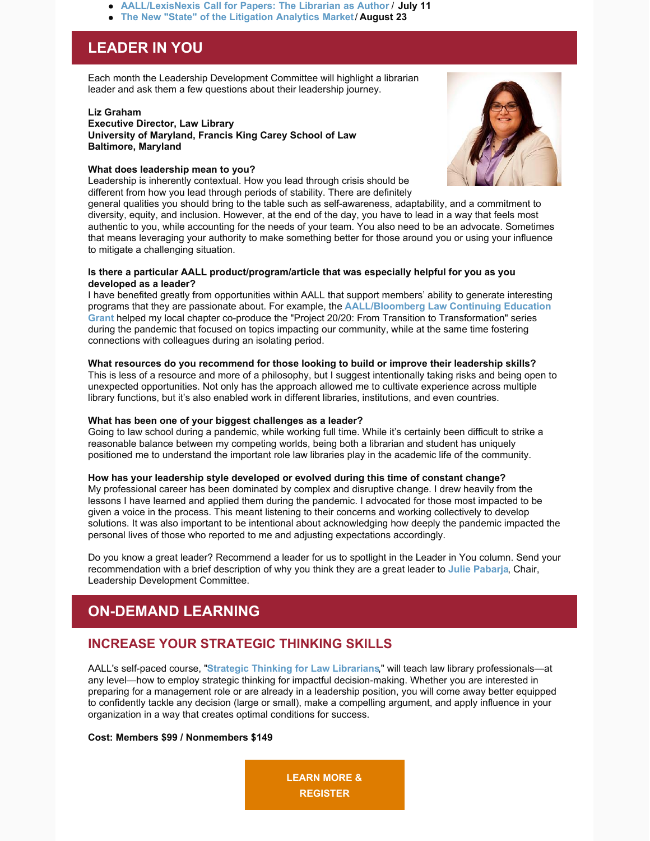- **[AALL/LexisNexis Call for Papers: The Librarian as Autho](https://elearning.aallnet.org/products/aalllexisnexis-call-for-papers-the-librarian-as-author)r** / **July 11**
- **[The New "State" of the Litigation Analytics Market](https://elearning.aallnet.org/products/the-new-state-of-the-litigation-analytics-market#tab-product_tab_overview)**/ **August 23**

# **LEADER IN YOU**

Each month the Leadership Development Committee will highlight a librarian leader and ask them a few questions about their leadership journey.

#### **Liz Graham**

**Executive Director, Law Library University of Maryland, Francis King Carey School of Law Baltimore, Maryland**

### **What does leadership mean to you?**

Leadership is inherently contextual. How you lead through crisis should be different from how you lead through periods of stability. There are definitely



general qualities you should bring to the table such as self-awareness, adaptability, and a commitment to diversity, equity, and inclusion. However, at the end of the day, you have to lead in a way that feels most authentic to you, while accounting for the needs of your team. You also need to be an advocate. Sometimes that means leveraging your authority to make something better for those around you or using your influence to mitigate a challenging situation.

### **Is there a particular AALL product/program/article that was especially helpful for you as you developed as a leader?**

I have benefited greatly from opportunities within AALL that support members' ability to generate interesting programs that they are passionate about. For example, the **AALL/Bloomberg Law Continuing Education Grant** [helped my local chapter co-produce the "Project 20/20: From Transition to Transformation" series](https://www.aallnet.org/education-training/grants/cpe-program-grants/) during the pandemic that focused on topics impacting our community, while at the same time fostering connections with colleagues during an isolating period.

#### **What resources do you recommend for those looking to build or improve their leadership skills?**

This is less of a resource and more of a philosophy, but I suggest intentionally taking risks and being open to unexpected opportunities. Not only has the approach allowed me to cultivate experience across multiple library functions, but it's also enabled work in different libraries, institutions, and even countries.

#### **What has been one of your biggest challenges as a leader?**

Going to law school during a pandemic, while working full time. While it's certainly been difficult to strike a reasonable balance between my competing worlds, being both a librarian and student has uniquely positioned me to understand the important role law libraries play in the academic life of the community.

#### **How has your leadership style developed or evolved during this time of constant change?**

My professional career has been dominated by complex and disruptive change. I drew heavily from the lessons I have learned and applied them during the pandemic. I advocated for those most impacted to be given a voice in the process. This meant listening to their concerns and working collectively to develop solutions. It was also important to be intentional about acknowledging how deeply the pandemic impacted the personal lives of those who reported to me and adjusting expectations accordingly.

Do you know a great leader? Recommend a leader for us to spotlight in the Leader in You column. Send your recommendation with a brief description of why you think they are a great leader to **[Julie Pabarja](mailto:julie.pabarja@lw.com)**, Chair, Leadership Development Committee.

# **ON-DEMAND LEARNING**

## **INCREASE YOUR STRATEGIC THINKING SKILLS**

AALL's self-paced course, "**[Strategic Thinking for Law Librarians](https://elearning.aallnet.org/products/strategic-thinking-for-law-librarians)**," will teach law library professionals—at any level—how to employ strategic thinking for impactful decision-making. Whether you are interested in preparing for a management role or are already in a leadership position, you will come away better equipped to confidently tackle any decision (large or small), make a compelling argument, and apply influence in your organization in a way that creates optimal conditions for success.

### **Cost: Members \$99 / Nonmembers \$149**

**[LEARN MORE &](https://elearning.aallnet.org/products/strategic-thinking-for-law-librarians) REGISTER**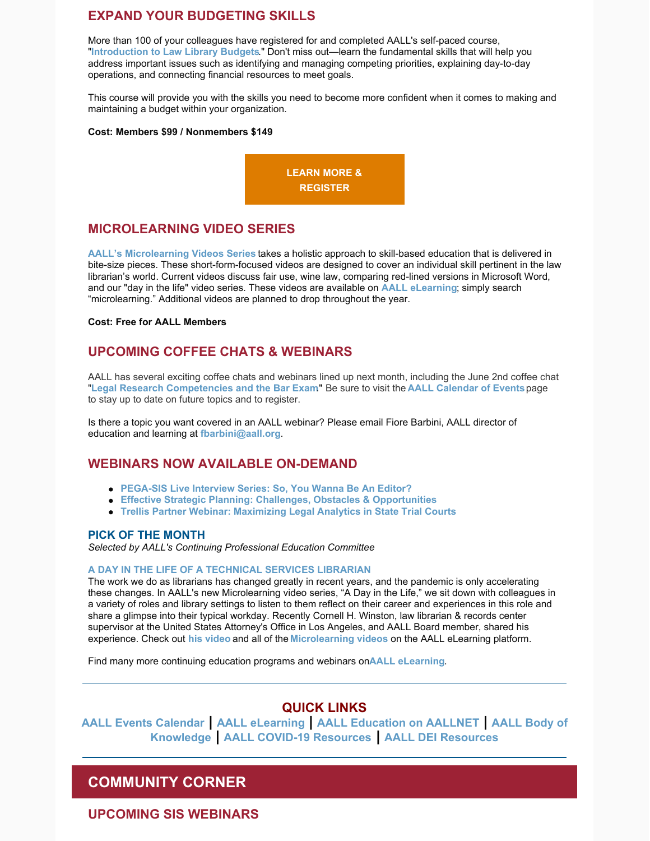## **EXPAND YOUR BUDGETING SKILLS**

More than 100 of your colleagues have registered for and completed AALL's self-paced course, "**[Introduction](https://elearning.aallnet.org/products/introduction-to-law-library-budgets-2) to Law Library Budgets**." Don't miss out—learn the fundamental skills that will help you address important issues such as identifying and managing competing priorities, explaining day-to-day operations, and connecting financial resources to meet goals.

This course will provide you with the skills you need to become more confident when it comes to making and maintaining a budget within your organization.

#### **Cost: Members \$99 / Nonmembers \$149**



## **MICROLEARNING VIDEO SERIES**

**AALL's [Microlearning](https://elearning.aallnet.org/catalog#form_type=catalog-filter&page=1&webinar_type=0&product_type%5B%5D=2467&date%5Bstart%5D=&date%5Bend%5D=&keywords=&sort_by=new_to_old) Videos Series** takes a holistic approach to skill-based education that is delivered in bite-size pieces. These short-form-focused videos are designed to cover an individual skill pertinent in the law librarian's world. Current videos discuss fair use, wine law, comparing red-lined versions in Microsoft Word, and our "day in the life" video series. These videos are available on **AALL [eLearning](https://elearning.aallnet.org/)**; simply search "microlearning." Additional videos are planned to drop throughout the year.

#### **Cost: Free for AALL Members**

## **UPCOMING COFFEE CHATS & WEBINARS**

AALL has several exciting coffee chats and webinars lined up next month, including the June 2nd coffee chat "**Legal Research [Competencies](https://elearning.aallnet.org/products/virtual-coffee-chat-legal-research-competencies-and-the-bar-exam) and the Bar Exam**." Be sure to visit the **AALL [Calendar](https://www.aallnet.org/forms/MeetingCalendar/) of Events**page to stay up to date on future topics and to register.

Is there a topic you want covered in an AALL webinar? Please email Fiore Barbini, AALL director of education and learning at **[fbarbini@aall.org](mailto:fbarbini@aall.org)**.

## **WEBINARS NOW AVAILABLE ON-DEMAND**

- **[PEGA-SIS](https://elearning.aallnet.org/products/live-interview-series-so-you-wanna-be-an-editor) Live Interview Series: So, You Wanna Be An Editor?**
- **Effective Strategic Planning: Challenges, Obstacles & [Opportunities](https://elearning.aallnet.org/products/effective-strategic-planning-challenges-obstacles-opportunities)**
- **Trellis Partner Webinar: [Maximizing](https://elearning.aallnet.org/products/maximizing-legal-analytics-in-state-trial-courts-trellis-partner-webinar) Legal Analytics in State Trial Courts**

### **PICK OF THE MONTH**

*Selected by AALL's Continuing Professional Education Committee*

#### **A DAY IN THE LIFE OF A [TECHNICAL](https://elearning.aallnet.org/products/microlearning-video-series-a-day-in-the-life-of-a-law-librarian-records-center-supervisor) SERVICES LIBRARIAN**

The work we do as librarians has changed greatly in recent years, and the pandemic is only accelerating these changes. In AALL's new Microlearning video series, "A Day in the Life," we sit down with colleagues in a variety of roles and library settings to listen to them reflect on their career and experiences in this role and share a glimpse into their typical workday. Recently Cornell H. Winston, law librarian & records center supervisor at the United States Attorney's Office in Los Angeles, and AALL Board member, shared his experience. Check out **his [video](https://elearning.aallnet.org/products/microlearning-video-series-a-day-in-the-life-of-a-law-librarian-records-center-supervisor)** and all of the **[Microlearning](https://elearning.aallnet.org/catalog#form_type=catalog-filter&page=1&webinar_type=0&product_type%5B%5D=2467&date%5Bstart%5D=&date%5Bend%5D=&keywords=&sort_by=new_to_old) videos** on the AALL eLearning platform.

Find many more continuing education programs and webinars on**AALL [eLearning](https://elearning.aallnet.org/)**.

## **QUICK LINKS**

**AALL Events [Calendar](https://www.aallnet.org/forms/MeetingCalendar/) | AALL [eLearning](https://elearning.aallnet.org/) | AALL [Education](https://www.aallnet.org/education-training/) on AALLNET | AALL Body of [Knowledge](https://www.aallnet.org/education-training/bok/) | AALL COVID-19 [Resources](https://www.aallnet.org/about-us/press-room/coronavirus/) | AALL DEI [Resources](https://www.aallnet.org/about-us/press-room/anti-racism-diversity-equity-inclusion/)**

## **COMMUNITY CORNER**

**UPCOMING SIS WEBINARS**